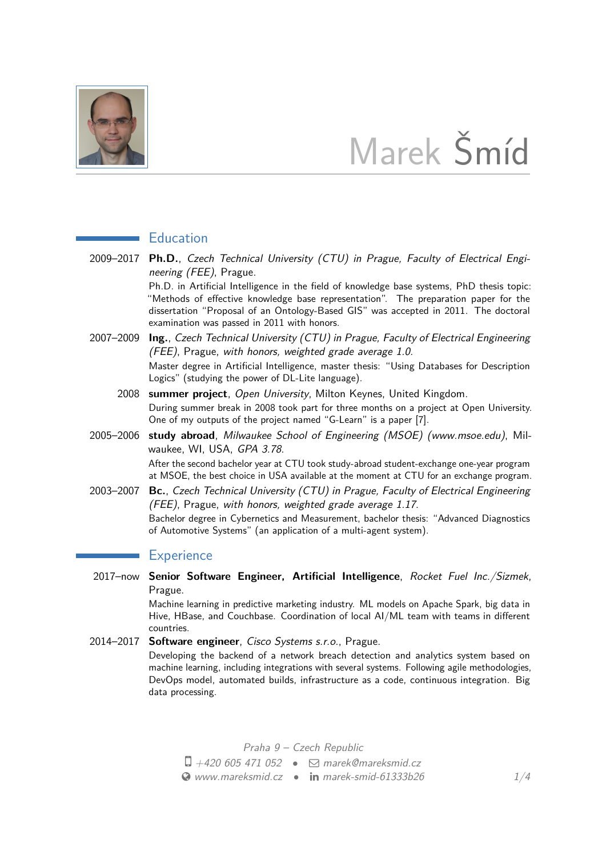

# Marek Šmíd

## **Education**

2009–2017 **Ph.D.**, Czech Technical University (CTU) in Prague, Faculty of Electrical Engineering (FEE), Prague.

> Ph.D. in Artificial Intelligence in the field of knowledge base systems, PhD thesis topic: "Methods of effective knowledge base representation". The preparation paper for the dissertation "Proposal of an Ontology-Based GIS" was accepted in 2011. The doctoral examination was passed in 2011 with honors.

- 2007–2009 **Ing.**, Czech Technical University (CTU) in Prague, Faculty of Electrical Engineering (FEE), Prague, with honors, weighted grade average 1.0. Master degree in Artificial Intelligence, master thesis: "Using Databases for Description Logics" (studying the power of DL-Lite language).
	- 2008 **summer project**, Open University, Milton Keynes, United Kingdom. During summer break in 2008 took part for three months on a project at Open University. One of my outputs of the project named "G-Learn" is a paper [\[7\]](#page-3-0).
- 2005–2006 **study abroad**, Milwaukee School of Engineering (MSOE) (www.msoe.edu), Milwaukee, WI, USA, GPA 3.78. After the second bachelor year at CTU took study-abroad student-exchange one-year program at MSOE, the best choice in USA available at the moment at CTU for an exchange program.
- 2003–2007 **Bc.**, Czech Technical University (CTU) in Prague, Faculty of Electrical Engineering (FEE), Prague, with honors, weighted grade average 1.17. Bachelor degree in Cybernetics and Measurement, bachelor thesis: "Advanced Diagnostics of Automotive Systems" (an application of a multi-agent system).

## **Experience**

2017–now **Senior Software Engineer, Artificial Intelligence**, Rocket Fuel Inc./Sizmek, Prague.

Machine learning in predictive marketing industry. ML models on Apache Spark, big data in Hive, HBase, and Couchbase. Coordination of local AI/ML team with teams in different countries.

2014–2017 **Software engineer**, Cisco Systems s.r.o., Prague. Developing the backend of a network breach detection and analytics system based on machine learning, including integrations with several systems. Following agile methodologies, DevOps model, automated builds, infrastructure as a code, continuous integration. Big data processing.

Praha 9 – Czech Republic

- $\Box$  +420 605 471 052  $\Box$  [marek@mareksmid.cz](mailto:marek@mareksmid.cz)
- $\bullet$  [www.mareksmid.cz](http://www.mareksmid.cz)  $\bullet$  in [marek-smid-61333b26](http://www.linkedin.com/in/marek-smid-61333b26)  $1/4$  $1/4$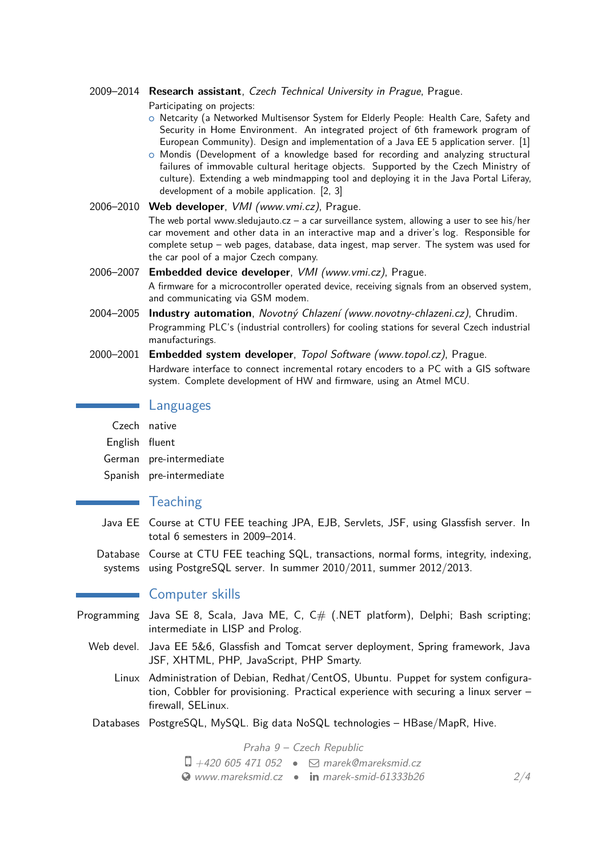#### 2009–2014 **Research assistant**, Czech Technical University in Prague, Prague.

Participating on projects:

- o Netcarity (a Networked Multisensor System for Elderly People: Health Care, Safety and Security in Home Environment. An integrated project of 6th framework program of European Community). Design and implementation of a Java EE 5 application server. [\[1\]](#page-2-1)
- $\circ$  Mondis (Development of a knowledge based for recording and analyzing structural failures of immovable cultural heritage objects. Supported by the Czech Ministry of culture). Extending a web mindmapping tool and deploying it in the Java Portal Liferay, development of a mobile application. [\[2,](#page-2-2) [3\]](#page-2-3)
- 2006–2010 **Web developer**, VMI (www.vmi.cz), Prague. The web portal www.sledujauto.cz  $-$  a car surveillance system, allowing a user to see his/her car movement and other data in an interactive map and a driver's log. Responsible for complete setup – web pages, database, data ingest, map server. The system was used for the car pool of a major Czech company.
- 2006–2007 **Embedded device developer**, VMI (www.vmi.cz), Prague. A firmware for a microcontroller operated device, receiving signals from an observed system, and communicating via GSM modem.
- 2004–2005 **Industry automation**, Novotný Chlazení (www.novotny-chlazeni.cz), Chrudim. Programming PLC's (industrial controllers) for cooling stations for several Czech industrial manufacturings.
- 2000–2001 **Embedded system developer**, Topol Software (www.topol.cz), Prague. Hardware interface to connect incremental rotary encoders to a PC with a GIS software system. Complete development of HW and firmware, using an Atmel MCU.

### **Languages**

|                | Czech native             |
|----------------|--------------------------|
| English fluent |                          |
|                | German pre-intermediate  |
|                | Spanish pre-intermediate |

## **Teaching**

- Java EE Course at CTU FEE teaching JPA, EJB, Servlets, JSF, using Glassfish server. In total 6 semesters in 2009–2014.
- Database Course at CTU FEE teaching SQL, transactions, normal forms, integrity, indexing, systems using PostgreSQL server. In summer 2010/2011, summer 2012/2013.

## **Computer skills**

- Programming Java SE 8, Scala, Java ME, C,  $C#$  (.NET platform), Delphi; Bash scripting; intermediate in LISP and Prolog.
	- Web devel. Java EE 5&6, Glassfish and Tomcat server deployment, Spring framework, Java JSF, XHTML, PHP, JavaScript, PHP Smarty.
		- Linux Administration of Debian, Redhat/CentOS, Ubuntu. Puppet for system configuration, Cobbler for provisioning. Practical experience with securing a linux server – firewall, SELinux.
	- Databases PostgreSQL, MySQL. Big data NoSQL technologies HBase/MapR, Hive.

Praha 9 – Czech Republic

 $\Box$  +420 605 471 052 •  $\Box$  [marek@mareksmid.cz](mailto:marek@mareksmid.cz)  $\bullet$  [www.mareksmid.cz](http://www.mareksmid.cz)  $\bullet$  in [marek-smid-61333b26](http://www.linkedin.com/in/marek-smid-61333b26) 2[/4](#page-2-0)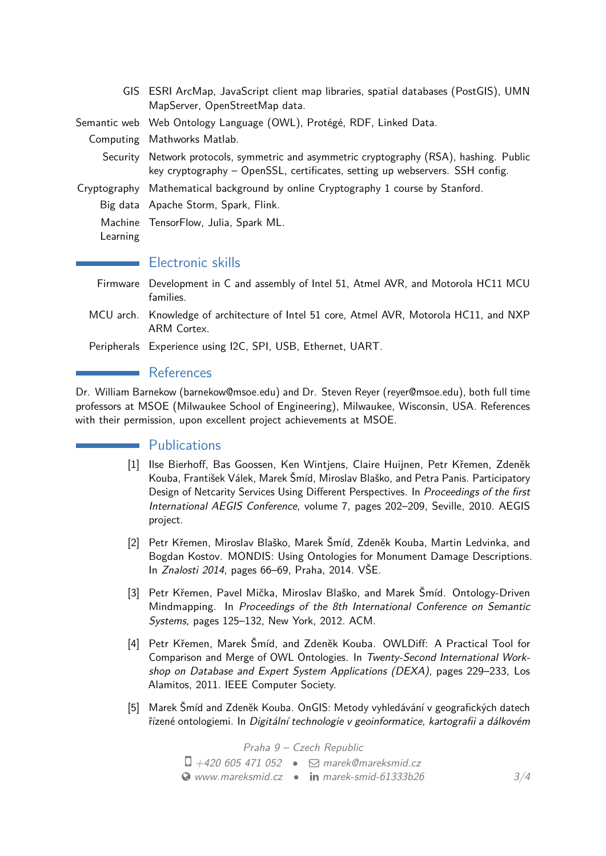|          | GIS ESRI ArcMap, JavaScript client map libraries, spatial databases (PostGIS), UMN<br>MapServer, OpenStreetMap data.                                                     |
|----------|--------------------------------------------------------------------------------------------------------------------------------------------------------------------------|
|          | Semantic web Web Ontology Language (OWL), Protégé, RDF, Linked Data.                                                                                                     |
|          | Computing Mathworks Matlab.                                                                                                                                              |
|          | Security Network protocols, symmetric and asymmetric cryptography (RSA), hashing. Public<br>key cryptography - OpenSSL, certificates, setting up webservers. SSH config. |
|          | Cryptography Mathematical background by online Cryptography 1 course by Stanford.                                                                                        |
|          | Big data Apache Storm, Spark, Flink.                                                                                                                                     |
| Learning | Machine TensorFlow, Julia, Spark ML.                                                                                                                                     |
|          | Electronic skills                                                                                                                                                        |
| Firmware | Development in C and assembly of Intel 51, Atmel AVR, and Motorola HC11 MCU<br>families.                                                                                 |
|          |                                                                                                                                                                          |

- MCU arch. Knowledge of architecture of Intel 51 core, Atmel AVR, Motorola HC11, and NXP ARM Cortex.
- Peripherals Experience using I2C, SPI, USB, Ethernet, UART.

## **References**

<span id="page-2-0"></span>Dr. William Barnekow (barnekow@msoe.edu) and Dr. Steven Reyer (reyer@msoe.edu), both full time professors at MSOE (Milwaukee School of Engineering), Milwaukee, Wisconsin, USA. References with their permission, upon excellent project achievements at MSOE.

## **Publications**

- <span id="page-2-1"></span>[1] Ilse Bierhoff, Bas Goossen, Ken Wintjens, Claire Huijnen, Petr Křemen, Zdeněk Kouba, František Válek, Marek Šmíd, Miroslav Blaško, and Petra Panis. Participatory Design of Netcarity Services Using Different Perspectives. In Proceedings of the first International AEGIS Conference, volume 7, pages 202–209, Seville, 2010. AEGIS project.
- <span id="page-2-2"></span>[2] Petr Křemen, Miroslav Blaško, Marek Šmíd, Zdeněk Kouba, Martin Ledvinka, and Bogdan Kostov. MONDIS: Using Ontologies for Monument Damage Descriptions. In Znalosti 2014, pages 66–69, Praha, 2014. VSE.
- <span id="page-2-3"></span>[3] Petr Křemen, Pavel Mička, Miroslav Blaško, and Marek Šmíd. Ontology-Driven Mindmapping. In Proceedings of the 8th International Conference on Semantic Systems, pages 125–132, New York, 2012. ACM.
- [4] Petr Křemen, Marek Šmíd, and Zdeněk Kouba. OWLDiff: A Practical Tool for Comparison and Merge of OWL Ontologies. In Twenty-Second International Workshop on Database and Expert System Applications (DEXA), pages 229–233, Los Alamitos, 2011. IEEE Computer Society.
- [5] Marek Šmíd and Zdeněk Kouba. OnGIS: Metody vyhledávání v geografických datech řízené ontologiemi. In Digitální technologie v geoinformatice, kartografii a dálkovém

Praha 9 – Czech Republic  $\Box$  +420 605 471 052 •  $\Box$  [marek@mareksmid.cz](mailto:marek@mareksmid.cz)  $\bullet$  [www.mareksmid.cz](http://www.mareksmid.cz)  $\bullet$  in [marek-smid-61333b26](http://www.linkedin.com/in/marek-smid-61333b26) 3[/4](#page-2-0)